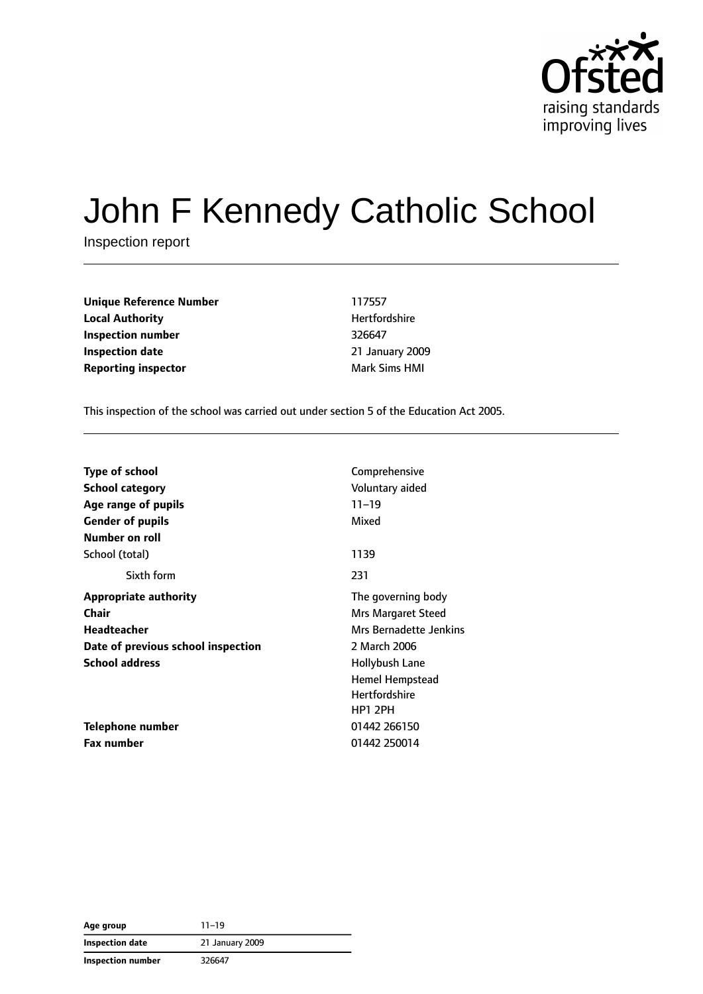

# John F Kennedy Catholic School

Inspection report

**Unique Reference Number** 117557 **Local Authority Material Authority Hertfordshire Inspection number** 326647 **Inspection date** 21 January 2009 **Reporting inspector** Mark Sims HMI

This inspection of the school was carried out under section 5 of the Education Act 2005.

| <b>Type of school</b>              | Comprehensive          |
|------------------------------------|------------------------|
| <b>School category</b>             | Voluntary aided        |
| Age range of pupils                | $11 - 19$              |
| <b>Gender of pupils</b>            | Mixed                  |
| Number on roll                     |                        |
| School (total)                     | 1139                   |
| Sixth form                         | 231                    |
| <b>Appropriate authority</b>       | The governing body     |
| Chair                              | Mrs Margaret Steed     |
| Headteacher                        | Mrs Bernadette Jenkins |
| Date of previous school inspection | 2 March 2006           |
| <b>School address</b>              | Hollybush Lane         |
|                                    | Hemel Hempstead        |
|                                    | <b>Hertfordshire</b>   |
|                                    | <b>HP1 2PH</b>         |
| Telephone number                   | 01442 266150           |
| <b>Fax number</b>                  | 01442 250014           |

**Age group** 11–19 **Inspection date** 21 January 2009 **Inspection number** 326647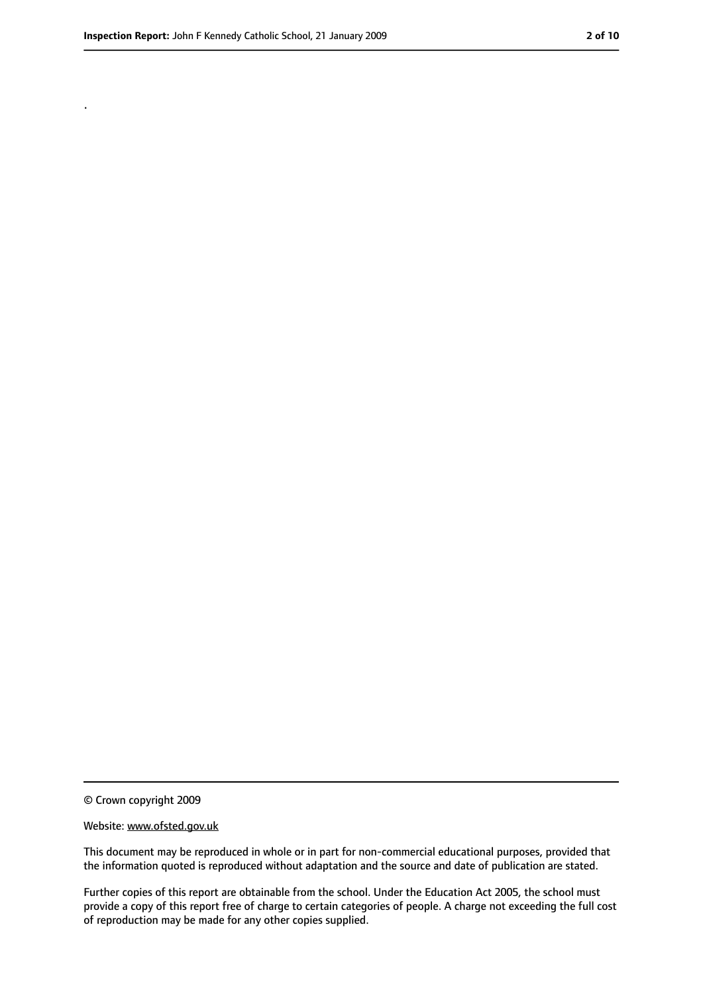.

<sup>©</sup> Crown copyright 2009

Website: www.ofsted.gov.uk

This document may be reproduced in whole or in part for non-commercial educational purposes, provided that the information quoted is reproduced without adaptation and the source and date of publication are stated.

Further copies of this report are obtainable from the school. Under the Education Act 2005, the school must provide a copy of this report free of charge to certain categories of people. A charge not exceeding the full cost of reproduction may be made for any other copies supplied.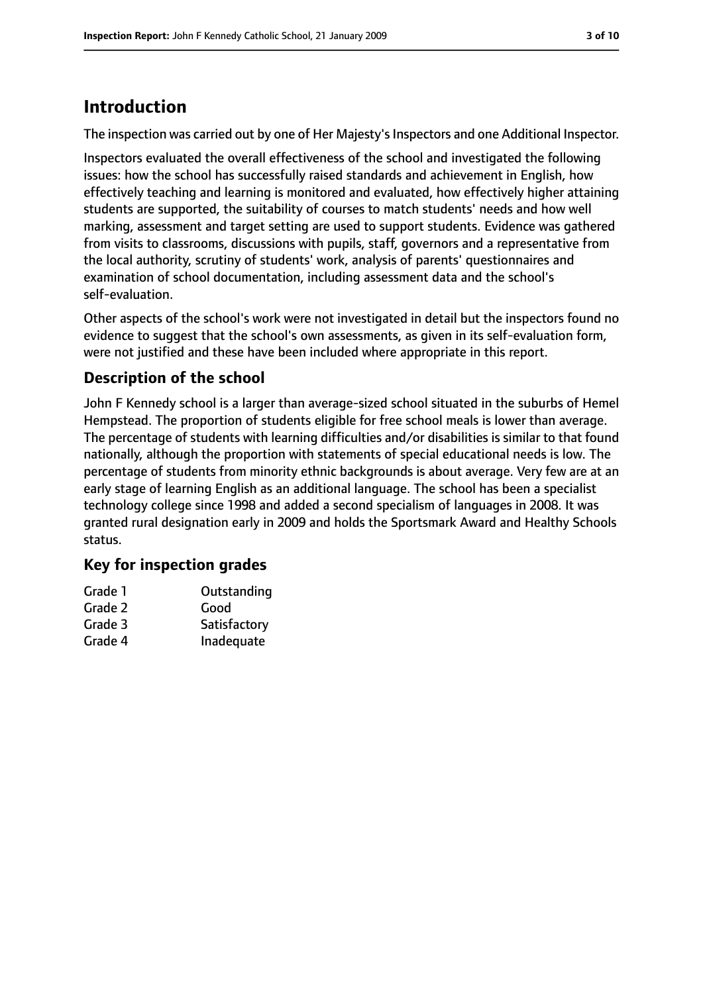## **Introduction**

The inspection was carried out by one of Her Majesty's Inspectors and one Additional Inspector.

Inspectors evaluated the overall effectiveness of the school and investigated the following issues: how the school has successfully raised standards and achievement in English, how effectively teaching and learning is monitored and evaluated, how effectively higher attaining students are supported, the suitability of courses to match students' needs and how well marking, assessment and target setting are used to support students. Evidence was gathered from visits to classrooms, discussions with pupils, staff, governors and a representative from the local authority, scrutiny of students' work, analysis of parents' questionnaires and examination of school documentation, including assessment data and the school's self-evaluation.

Other aspects of the school's work were not investigated in detail but the inspectors found no evidence to suggest that the school's own assessments, as given in its self-evaluation form, were not justified and these have been included where appropriate in this report.

#### **Description of the school**

John F Kennedy school is a larger than average-sized school situated in the suburbs of Hemel Hempstead. The proportion of students eligible for free school meals is lower than average. The percentage of students with learning difficulties and/or disabilities is similar to that found nationally, although the proportion with statements of special educational needs is low. The percentage of students from minority ethnic backgrounds is about average. Very few are at an early stage of learning English as an additional language. The school has been a specialist technology college since 1998 and added a second specialism of languages in 2008. It was granted rural designation early in 2009 and holds the Sportsmark Award and Healthy Schools status.

#### **Key for inspection grades**

| Grade 1 | Outstanding  |
|---------|--------------|
| Grade 2 | Good         |
| Grade 3 | Satisfactory |
| Grade 4 | Inadequate   |
|         |              |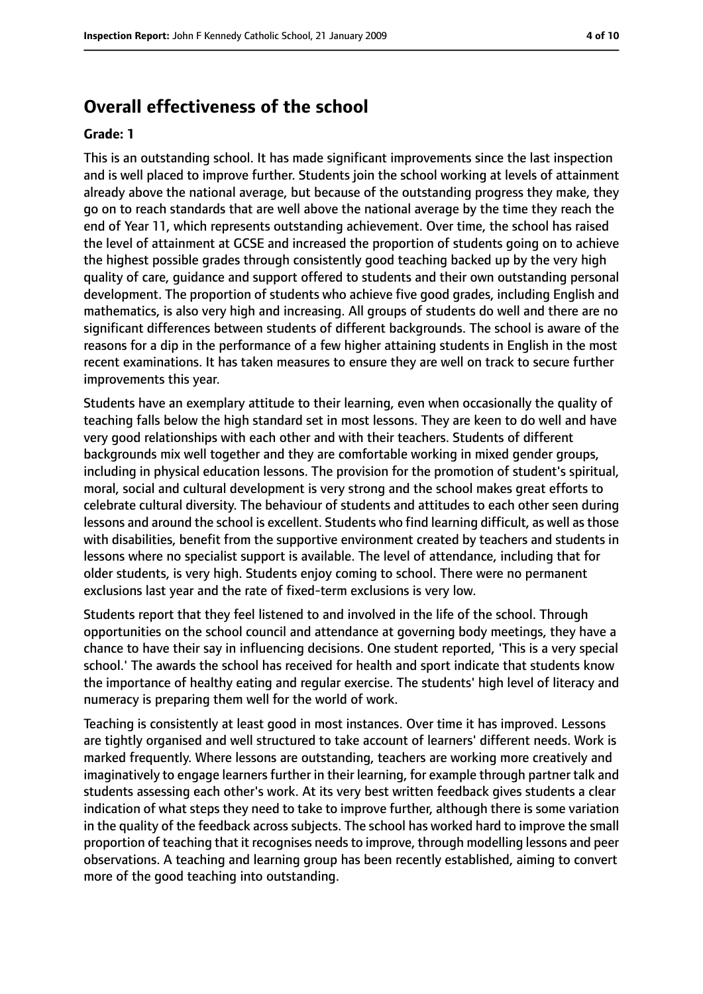#### **Overall effectiveness of the school**

#### **Grade: 1**

This is an outstanding school. It has made significant improvements since the last inspection and is well placed to improve further. Students join the school working at levels of attainment already above the national average, but because of the outstanding progress they make, they go on to reach standards that are well above the national average by the time they reach the end of Year 11, which represents outstanding achievement. Over time, the school has raised the level of attainment at GCSE and increased the proportion of students going on to achieve the highest possible grades through consistently good teaching backed up by the very high quality of care, guidance and support offered to students and their own outstanding personal development. The proportion of students who achieve five good grades, including English and mathematics, is also very high and increasing. All groups of students do well and there are no significant differences between students of different backgrounds. The school is aware of the reasons for a dip in the performance of a few higher attaining students in English in the most recent examinations. It has taken measures to ensure they are well on track to secure further improvements this year.

Students have an exemplary attitude to their learning, even when occasionally the quality of teaching falls below the high standard set in most lessons. They are keen to do well and have very good relationships with each other and with their teachers. Students of different backgrounds mix well together and they are comfortable working in mixed gender groups, including in physical education lessons. The provision for the promotion of student's spiritual, moral, social and cultural development is very strong and the school makes great efforts to celebrate cultural diversity. The behaviour of students and attitudes to each other seen during lessons and around the school is excellent. Students who find learning difficult, as well as those with disabilities, benefit from the supportive environment created by teachers and students in lessons where no specialist support is available. The level of attendance, including that for older students, is very high. Students enjoy coming to school. There were no permanent exclusions last year and the rate of fixed-term exclusions is very low.

Students report that they feel listened to and involved in the life of the school. Through opportunities on the school council and attendance at governing body meetings, they have a chance to have their say in influencing decisions. One student reported, 'This is a very special school.' The awards the school has received for health and sport indicate that students know the importance of healthy eating and regular exercise. The students' high level of literacy and numeracy is preparing them well for the world of work.

Teaching is consistently at least good in most instances. Over time it has improved. Lessons are tightly organised and well structured to take account of learners' different needs. Work is marked frequently. Where lessons are outstanding, teachers are working more creatively and imaginatively to engage learners further in their learning, for example through partner talk and students assessing each other's work. At its very best written feedback gives students a clear indication of what steps they need to take to improve further, although there is some variation in the quality of the feedback across subjects. The school has worked hard to improve the small proportion of teaching that it recognises needsto improve, through modelling lessons and peer observations. A teaching and learning group has been recently established, aiming to convert more of the good teaching into outstanding.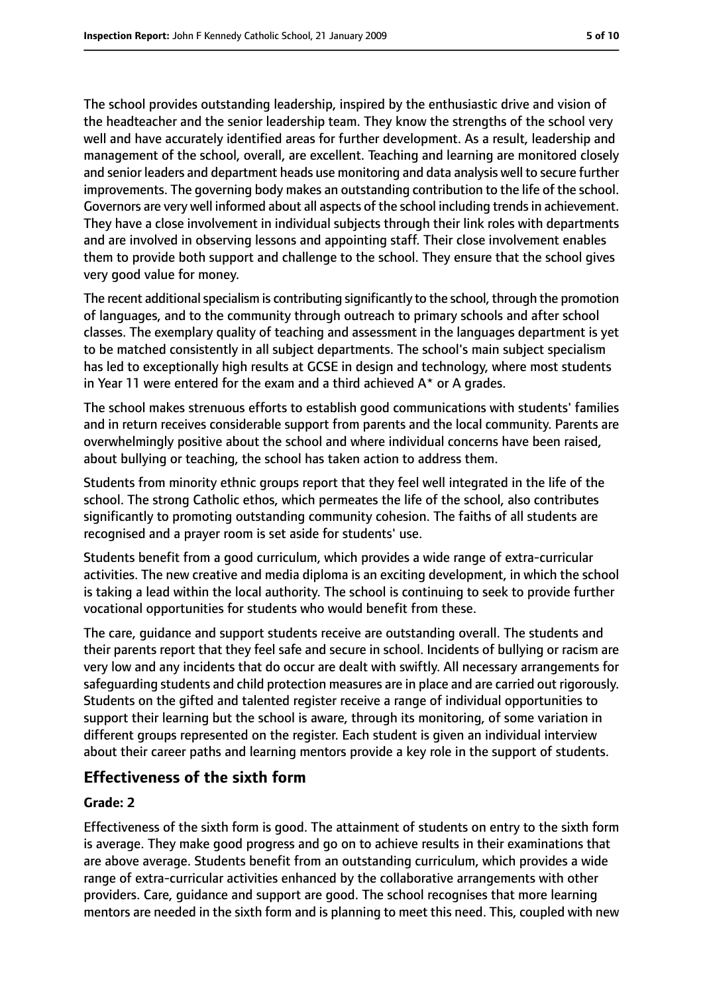The school provides outstanding leadership, inspired by the enthusiastic drive and vision of the headteacher and the senior leadership team. They know the strengths of the school very well and have accurately identified areas for further development. As a result, leadership and management of the school, overall, are excellent. Teaching and learning are monitored closely and senior leaders and department heads use monitoring and data analysis well to secure further improvements. The governing body makes an outstanding contribution to the life of the school. Governors are very well informed about all aspects of the school including trends in achievement. They have a close involvement in individual subjects through their link roles with departments and are involved in observing lessons and appointing staff. Their close involvement enables them to provide both support and challenge to the school. They ensure that the school gives very good value for money.

The recent additional specialism is contributing significantly to the school, through the promotion of languages, and to the community through outreach to primary schools and after school classes. The exemplary quality of teaching and assessment in the languages department is yet to be matched consistently in all subject departments. The school's main subject specialism has led to exceptionally high results at GCSE in design and technology, where most students in Year 11 were entered for the exam and a third achieved  $A^*$  or A grades.

The school makes strenuous efforts to establish good communications with students' families and in return receives considerable support from parents and the local community. Parents are overwhelmingly positive about the school and where individual concerns have been raised, about bullying or teaching, the school has taken action to address them.

Students from minority ethnic groups report that they feel well integrated in the life of the school. The strong Catholic ethos, which permeates the life of the school, also contributes significantly to promoting outstanding community cohesion. The faiths of all students are recognised and a prayer room is set aside for students' use.

Students benefit from a good curriculum, which provides a wide range of extra-curricular activities. The new creative and media diploma is an exciting development, in which the school is taking a lead within the local authority. The school is continuing to seek to provide further vocational opportunities for students who would benefit from these.

The care, guidance and support students receive are outstanding overall. The students and their parents report that they feel safe and secure in school. Incidents of bullying or racism are very low and any incidents that do occur are dealt with swiftly. All necessary arrangements for safeguarding students and child protection measures are in place and are carried out rigorously. Students on the gifted and talented register receive a range of individual opportunities to support their learning but the school is aware, through its monitoring, of some variation in different groups represented on the register. Each student is given an individual interview about their career paths and learning mentors provide a key role in the support of students.

#### **Effectiveness of the sixth form**

#### **Grade: 2**

Effectiveness of the sixth form is good. The attainment of students on entry to the sixth form is average. They make good progress and go on to achieve results in their examinations that are above average. Students benefit from an outstanding curriculum, which provides a wide range of extra-curricular activities enhanced by the collaborative arrangements with other providers. Care, guidance and support are good. The school recognises that more learning mentors are needed in the sixth form and is planning to meet this need. This, coupled with new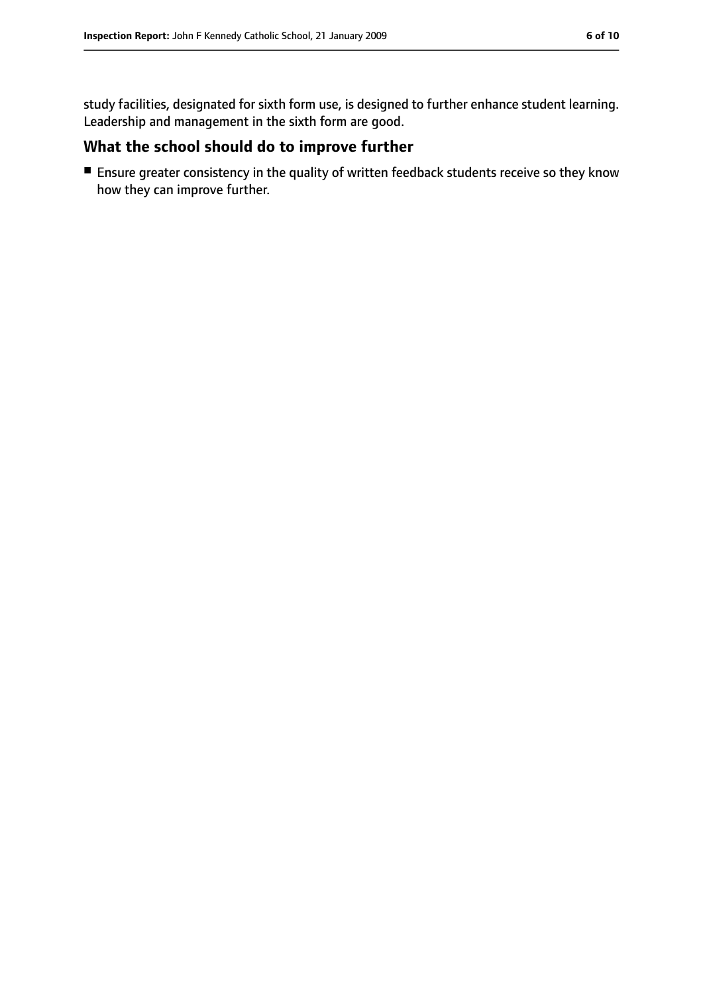study facilities, designated for sixth form use, is designed to further enhance student learning. Leadership and management in the sixth form are good.

#### **What the school should do to improve further**

■ Ensure greater consistency in the quality of written feedback students receive so they know how they can improve further.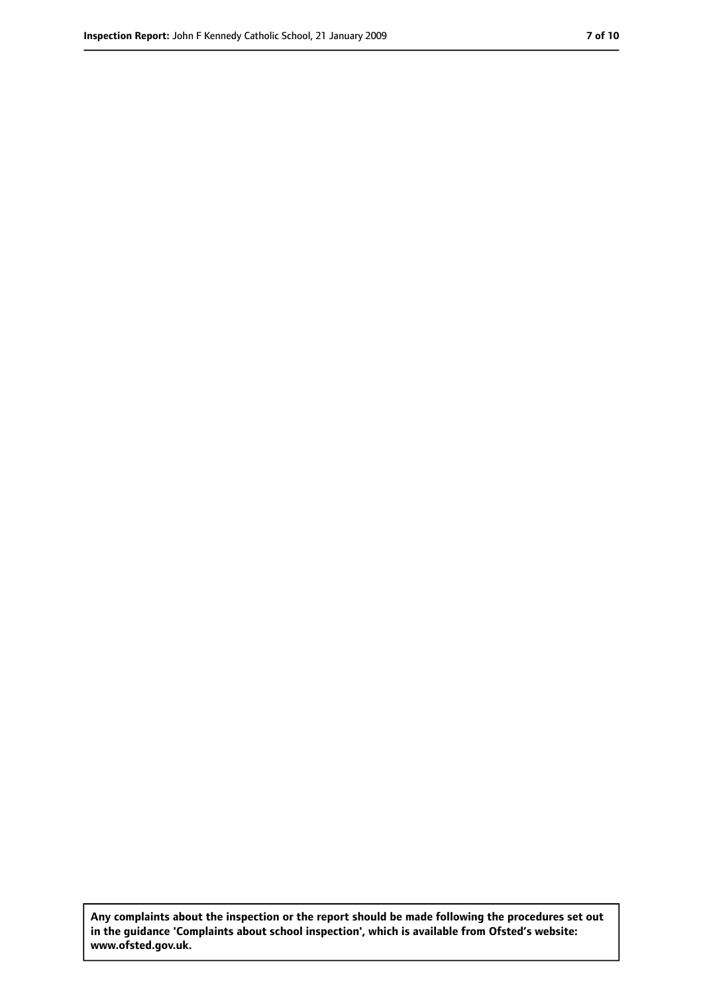**Any complaints about the inspection or the report should be made following the procedures set out in the guidance 'Complaints about school inspection', which is available from Ofsted's website: www.ofsted.gov.uk.**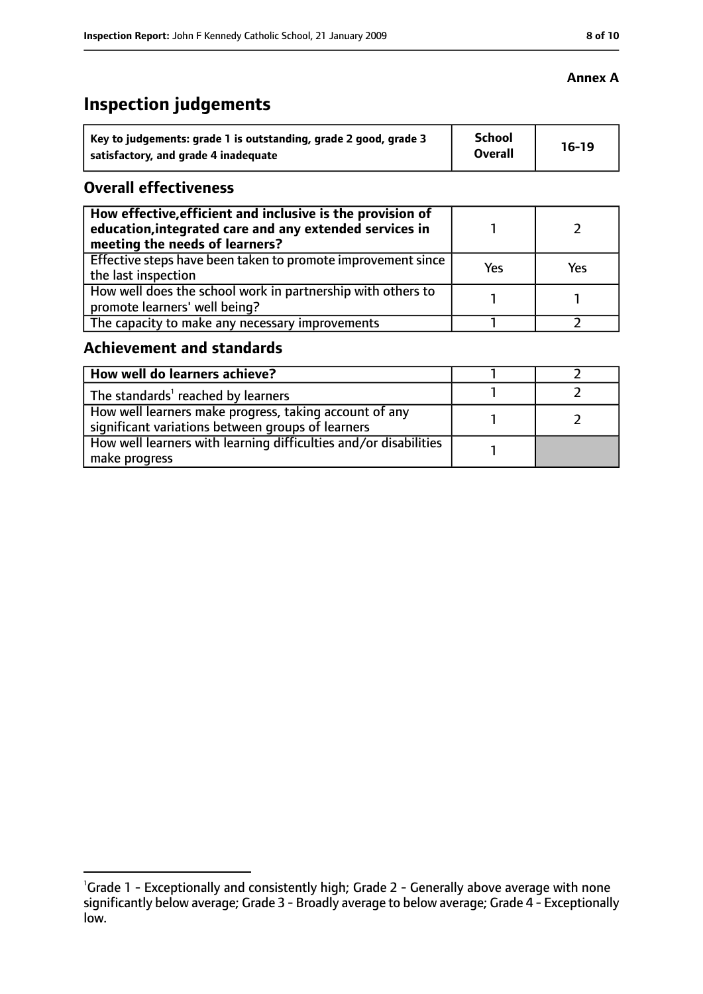# **Inspection judgements**

| Key to judgements: grade 1 is outstanding, grade 2 good, grade 3 | <b>School</b><br><b>Overall</b> | $16-19$ |
|------------------------------------------------------------------|---------------------------------|---------|
| satisfactory, and grade 4 inadequate                             |                                 |         |

#### **Overall effectiveness**

| How effective, efficient and inclusive is the provision of<br>education, integrated care and any extended services in<br>meeting the needs of learners? |     |     |
|---------------------------------------------------------------------------------------------------------------------------------------------------------|-----|-----|
| Effective steps have been taken to promote improvement since<br>the last inspection                                                                     | Yes | Yes |
| How well does the school work in partnership with others to<br>promote learners' well being?                                                            |     |     |
| The capacity to make any necessary improvements                                                                                                         |     |     |

#### **Achievement and standards**

| How well do learners achieve?                                                                               |  |
|-------------------------------------------------------------------------------------------------------------|--|
| The standards <sup>1</sup> reached by learners                                                              |  |
| How well learners make progress, taking account of any<br>significant variations between groups of learners |  |
| How well learners with learning difficulties and/or disabilities<br>make progress                           |  |

#### **Annex A**

<sup>&</sup>lt;sup>1</sup>Grade 1 - Exceptionally and consistently high; Grade 2 - Generally above average with none significantly below average; Grade 3 - Broadly average to below average; Grade 4 - Exceptionally low.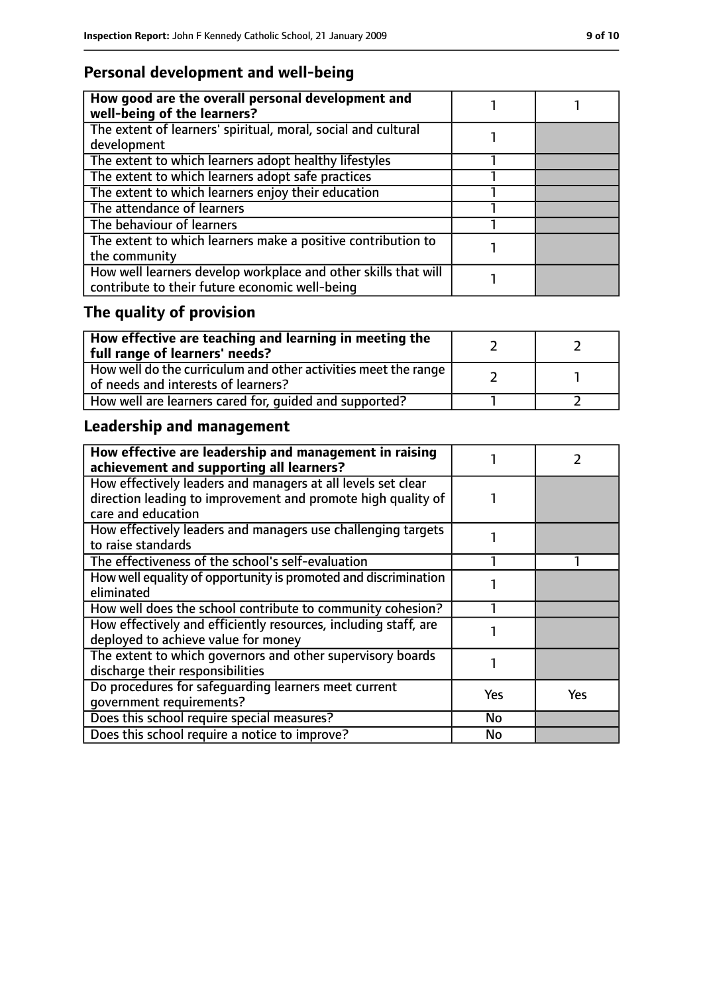#### **Personal development and well-being**

| How good are the overall personal development and<br>well-being of the learners? |  |
|----------------------------------------------------------------------------------|--|
| The extent of learners' spiritual, moral, social and cultural<br>development     |  |
|                                                                                  |  |
| The extent to which learners adopt healthy lifestyles                            |  |
| The extent to which learners adopt safe practices                                |  |
| The extent to which learners enjoy their education                               |  |
| The attendance of learners                                                       |  |
| The behaviour of learners                                                        |  |
| The extent to which learners make a positive contribution to                     |  |
| the community                                                                    |  |
| How well learners develop workplace and other skills that will                   |  |
| contribute to their future economic well-being                                   |  |

# **The quality of provision**

| $\mid$ How effective are teaching and learning in meeting the<br>full range of learners' needs?       |  |
|-------------------------------------------------------------------------------------------------------|--|
| How well do the curriculum and other activities meet the range<br>of needs and interests of learners? |  |
| How well are learners cared for, quided and supported?                                                |  |

## **Leadership and management**

| How effective are leadership and management in raising<br>achievement and supporting all learners? |     |     |
|----------------------------------------------------------------------------------------------------|-----|-----|
| How effectively leaders and managers at all levels set clear                                       |     |     |
| direction leading to improvement and promote high quality of                                       |     |     |
| care and education                                                                                 |     |     |
| How effectively leaders and managers use challenging targets                                       |     |     |
| to raise standards                                                                                 |     |     |
| The effectiveness of the school's self-evaluation                                                  |     |     |
| How well equality of opportunity is promoted and discrimination                                    |     |     |
| eliminated                                                                                         |     |     |
| How well does the school contribute to community cohesion?                                         |     |     |
| How effectively and efficiently resources, including staff, are                                    |     |     |
| deployed to achieve value for money                                                                |     |     |
| The extent to which governors and other supervisory boards                                         |     |     |
| discharge their responsibilities                                                                   |     |     |
| Do procedures for safeguarding learners meet current                                               | Yes | Yes |
| qovernment requirements?                                                                           |     |     |
| Does this school require special measures?                                                         | No  |     |
| Does this school require a notice to improve?                                                      | No  |     |